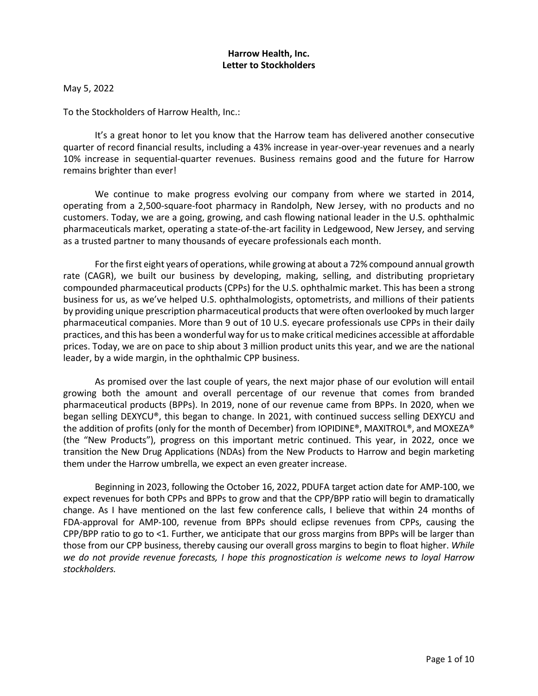# **Harrow Health, Inc. Letter to Stockholders**

May 5, 2022

To the Stockholders of Harrow Health, Inc.:

It's a great honor to let you know that the Harrow team has delivered another consecutive quarter of record financial results, including a 43% increase in year-over-year revenues and a nearly 10% increase in sequential-quarter revenues. Business remains good and the future for Harrow remains brighter than ever!

We continue to make progress evolving our company from where we started in 2014, operating from a 2,500-square-foot pharmacy in Randolph, New Jersey, with no products and no customers. Today, we are a going, growing, and cash flowing national leader in the U.S. ophthalmic pharmaceuticals market, operating a state-of-the-art facility in Ledgewood, New Jersey, and serving as a trusted partner to many thousands of eyecare professionals each month.

For the first eight years of operations, while growing at about a 72% compound annual growth rate (CAGR), we built our business by developing, making, selling, and distributing proprietary compounded pharmaceutical products (CPPs) for the U.S. ophthalmic market. This has been a strong business for us, as we've helped U.S. ophthalmologists, optometrists, and millions of their patients by providing unique prescription pharmaceutical products that were often overlooked by much larger pharmaceutical companies. More than 9 out of 10 U.S. eyecare professionals use CPPs in their daily practices, and this has been a wonderful way for us to make critical medicines accessible at affordable prices. Today, we are on pace to ship about 3 million product units this year, and we are the national leader, by a wide margin, in the ophthalmic CPP business.

As promised over the last couple of years, the next major phase of our evolution will entail growing both the amount and overall percentage of our revenue that comes from branded pharmaceutical products (BPPs). In 2019, none of our revenue came from BPPs. In 2020, when we began selling DEXYCU®, this began to change. In 2021, with continued success selling DEXYCU and the addition of profits (only for the month of December) from IOPIDINE®, MAXITROL®, and MOXEZA® (the "New Products"), progress on this important metric continued. This year, in 2022, once we transition the New Drug Applications (NDAs) from the New Products to Harrow and begin marketing them under the Harrow umbrella, we expect an even greater increase.

Beginning in 2023, following the October 16, 2022, PDUFA target action date for AMP-100, we expect revenues for both CPPs and BPPs to grow and that the CPP/BPP ratio will begin to dramatically change. As I have mentioned on the last few conference calls, I believe that within 24 months of FDA-approval for AMP-100, revenue from BPPs should eclipse revenues from CPPs, causing the CPP/BPP ratio to go to <1. Further, we anticipate that our gross margins from BPPs will be larger than those from our CPP business, thereby causing our overall gross margins to begin to float higher. *While we do not provide revenue forecasts, I hope this prognostication is welcome news to loyal Harrow stockholders.*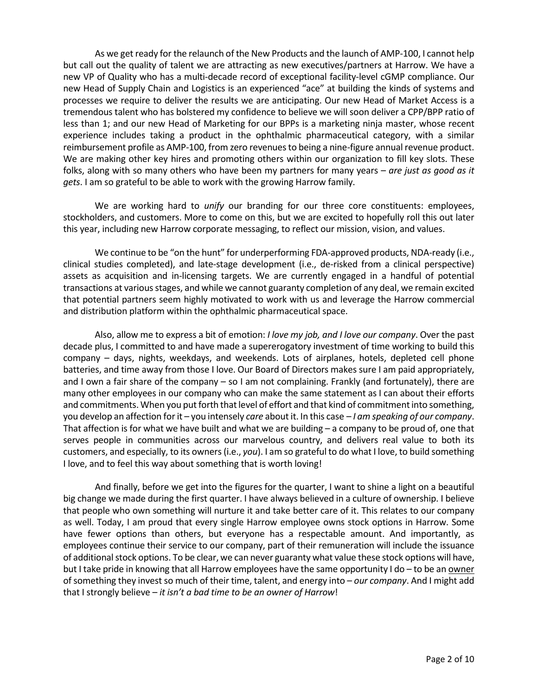As we get ready for the relaunch of the New Products and the launch of AMP-100, I cannot help but call out the quality of talent we are attracting as new executives/partners at Harrow. We have a new VP of Quality who has a multi-decade record of exceptional facility-level cGMP compliance. Our new Head of Supply Chain and Logistics is an experienced "ace" at building the kinds of systems and processes we require to deliver the results we are anticipating. Our new Head of Market Access is a tremendous talent who has bolstered my confidence to believe we will soon deliver a CPP/BPP ratio of less than 1; and our new Head of Marketing for our BPPs is a marketing ninja master, whose recent experience includes taking a product in the ophthalmic pharmaceutical category, with a similar reimbursement profile as AMP-100, from zero revenues to being a nine-figure annual revenue product. We are making other key hires and promoting others within our organization to fill key slots. These folks, along with so many others who have been my partners for many years – *are just as good as it gets*. I am so grateful to be able to work with the growing Harrow family.

We are working hard to *unify* our branding for our three core constituents: employees, stockholders, and customers. More to come on this, but we are excited to hopefully roll this out later this year, including new Harrow corporate messaging, to reflect our mission, vision, and values.

We continue to be "on the hunt" for underperforming FDA-approved products, NDA-ready (i.e., clinical studies completed), and late-stage development (i.e., de-risked from a clinical perspective) assets as acquisition and in-licensing targets. We are currently engaged in a handful of potential transactions at various stages, and while we cannot guaranty completion of any deal, we remain excited that potential partners seem highly motivated to work with us and leverage the Harrow commercial and distribution platform within the ophthalmic pharmaceutical space.

Also, allow me to express a bit of emotion: *I love my job, and I love our company*. Over the past decade plus, I committed to and have made a supererogatory investment of time working to build this company – days, nights, weekdays, and weekends. Lots of airplanes, hotels, depleted cell phone batteries, and time away from those I love. Our Board of Directors makes sure I am paid appropriately, and I own a fair share of the company – so I am not complaining. Frankly (and fortunately), there are many other employees in our company who can make the same statement as I can about their efforts and commitments. When you put forth that level of effort and that kind of commitment into something, you develop an affection for it – you intensely *care* about it. In this case – *I am speaking of our company*. That affection is for what we have built and what we are building  $-$  a company to be proud of, one that serves people in communities across our marvelous country, and delivers real value to both its customers, and especially, to its owners (i.e., *you*). I am so grateful to do what I love, to build something I love, and to feel this way about something that is worth loving!

And finally, before we get into the figures for the quarter, I want to shine a light on a beautiful big change we made during the first quarter. I have always believed in a culture of ownership. I believe that people who own something will nurture it and take better care of it. This relates to our company as well. Today, I am proud that every single Harrow employee owns stock options in Harrow. Some have fewer options than others, but everyone has a respectable amount. And importantly, as employees continue their service to our company, part of their remuneration will include the issuance of additional stock options. To be clear, we can never guaranty what value these stock options will have, but I take pride in knowing that all Harrow employees have the same opportunity I do – to be an owner of something they invest so much of their time, talent, and energy into – *our company*. And I might add that I strongly believe – *it isn't a bad time to be an owner of Harrow*!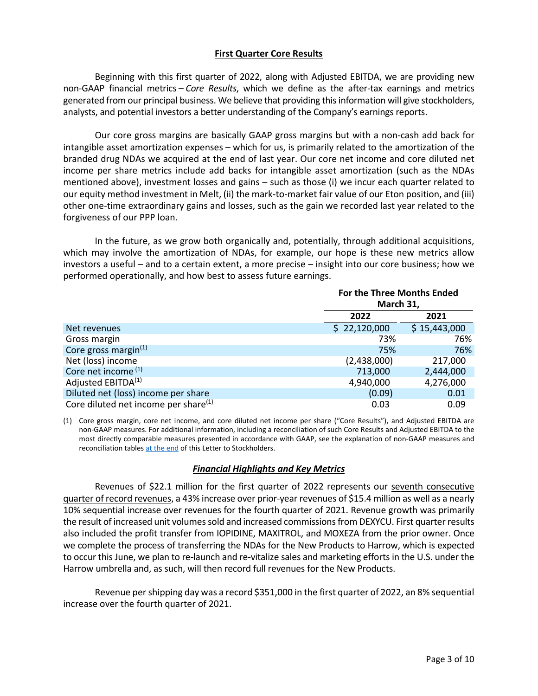# **First Quarter Core Results**

Beginning with this first quarter of 2022, along with Adjusted EBITDA, we are providing new non-GAAP financial metrics – *Core Results*, which we define as the after-tax earnings and metrics generated from our principal business. We believe that providing this information will give stockholders, analysts, and potential investors a better understanding of the Company's earnings reports.

Our core gross margins are basically GAAP gross margins but with a non-cash add back for intangible asset amortization expenses – which for us, is primarily related to the amortization of the branded drug NDAs we acquired at the end of last year. Our core net income and core diluted net income per share metrics include add backs for intangible asset amortization (such as the NDAs mentioned above), investment losses and gains – such as those (i) we incur each quarter related to our equity method investment in Melt, (ii) the mark-to-market fair value of our Eton position, and (iii) other one-time extraordinary gains and losses, such as the gain we recorded last year related to the forgiveness of our PPP loan.

In the future, as we grow both organically and, potentially, through additional acquisitions, which may involve the amortization of NDAs, for example, our hope is these new metrics allow investors a useful – and to a certain extent, a more precise – insight into our core business; how we performed operationally, and how best to assess future earnings.

|                                                  |              | For the Three Months Ended<br>March 31, |  |  |
|--------------------------------------------------|--------------|-----------------------------------------|--|--|
|                                                  | 2022         | 2021                                    |  |  |
| Net revenues                                     | \$22,120,000 | \$15,443,000                            |  |  |
| Gross margin                                     | 73%          | 76%                                     |  |  |
| Core gross margin $(1)$                          | 75%          | 76%                                     |  |  |
| Net (loss) income                                | (2,438,000)  | 217,000                                 |  |  |
| Core net income <sup>(1)</sup>                   | 713,000      | 2,444,000                               |  |  |
| Adjusted EBITDA <sup>(1)</sup>                   | 4,940,000    | 4,276,000                               |  |  |
| Diluted net (loss) income per share              | (0.09)       | 0.01                                    |  |  |
| Core diluted net income per share <sup>(1)</sup> | 0.03         | 0.09                                    |  |  |

(1) Core gross margin, core net income, and core diluted net income per share ("Core Results"), and Adjusted EBITDA are non-GAAP measures. For additional information, including a reconciliation of such Core Results and Adjusted EBITDA to the most directly comparable measures presented in accordance with GAAP, see the explanation of non-GAAP measures and reconciliation tables [at the end](#page-8-0) of this Letter to Stockholders.

## *Financial Highlights and Key Metrics*

Revenues of \$22.1 million for the first quarter of 2022 represents our seventh consecutive quarter of record revenues, a 43% increase over prior-year revenues of \$15.4 million as well as a nearly 10% sequential increase over revenues for the fourth quarter of 2021. Revenue growth was primarily the result of increased unit volumes sold and increased commissions from DEXYCU. First quarter results also included the profit transfer from IOPIDINE, MAXITROL, and MOXEZA from the prior owner. Once we complete the process of transferring the NDAs for the New Products to Harrow, which is expected to occur this June, we plan to re-launch and re-vitalize sales and marketing efforts in the U.S. under the Harrow umbrella and, as such, will then record full revenues for the New Products.

Revenue per shipping day was a record \$351,000 in the first quarter of 2022, an 8% sequential increase over the fourth quarter of 2021.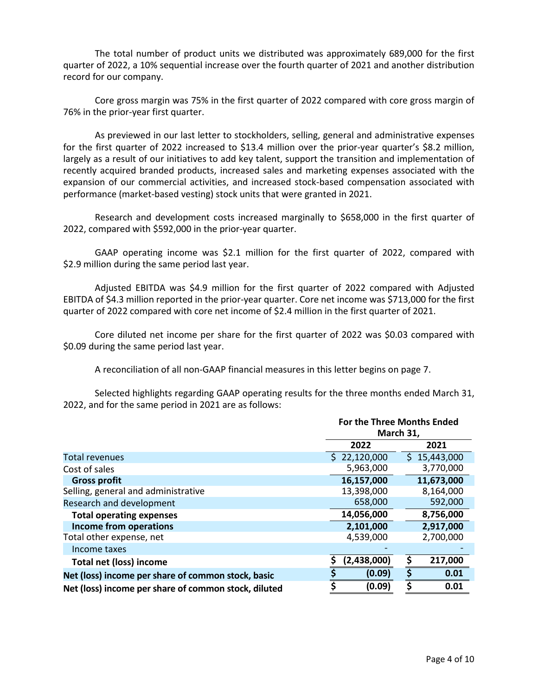The total number of product units we distributed was approximately 689,000 for the first quarter of 2022, a 10% sequential increase over the fourth quarter of 2021 and another distribution record for our company.

Core gross margin was 75% in the first quarter of 2022 compared with core gross margin of 76% in the prior-year first quarter.

As previewed in our last letter to stockholders, selling, general and administrative expenses for the first quarter of 2022 increased to \$13.4 million over the prior-year quarter's \$8.2 million, largely as a result of our initiatives to add key talent, support the transition and implementation of recently acquired branded products, increased sales and marketing expenses associated with the expansion of our commercial activities, and increased stock-based compensation associated with performance (market-based vesting) stock units that were granted in 2021.

Research and development costs increased marginally to \$658,000 in the first quarter of 2022, compared with \$592,000 in the prior-year quarter.

GAAP operating income was \$2.1 million for the first quarter of 2022, compared with \$2.9 million during the same period last year.

Adjusted EBITDA was \$4.9 million for the first quarter of 2022 compared with Adjusted EBITDA of \$4.3 million reported in the prior-year quarter. Core net income was \$713,000 for the first quarter of 2022 compared with core net income of \$2.4 million in the first quarter of 2021.

Core diluted net income per share for the first quarter of 2022 was \$0.03 compared with \$0.09 during the same period last year.

A reconciliation of all non-GAAP financial measures in this letter begins on page 7.

Selected highlights regarding GAAP operating results for the three months ended March 31, 2022, and for the same period in 2021 are as follows:

|                                                      | For the Three Months Ended<br>March 31, |               |  |
|------------------------------------------------------|-----------------------------------------|---------------|--|
|                                                      | 2022                                    | 2021          |  |
| <b>Total revenues</b>                                | 22,120,000<br>S.                        | \$15,443,000  |  |
| Cost of sales                                        | 5,963,000                               | 3,770,000     |  |
| <b>Gross profit</b>                                  | 16,157,000                              | 11,673,000    |  |
| Selling, general and administrative                  | 13,398,000                              | 8,164,000     |  |
| Research and development                             | 658,000                                 | 592,000       |  |
| <b>Total operating expenses</b>                      | 8,756,000<br>14,056,000                 |               |  |
| <b>Income from operations</b>                        | 2,101,000                               | 2,917,000     |  |
| Total other expense, net                             | 4,539,000                               | 2,700,000     |  |
| Income taxes                                         |                                         |               |  |
| <b>Total net (loss) income</b>                       | (2,438,000)                             | \$<br>217,000 |  |
| Net (loss) income per share of common stock, basic   | (0.09)                                  | \$<br>0.01    |  |
| Net (loss) income per share of common stock, diluted | (0.09)                                  | 0.01          |  |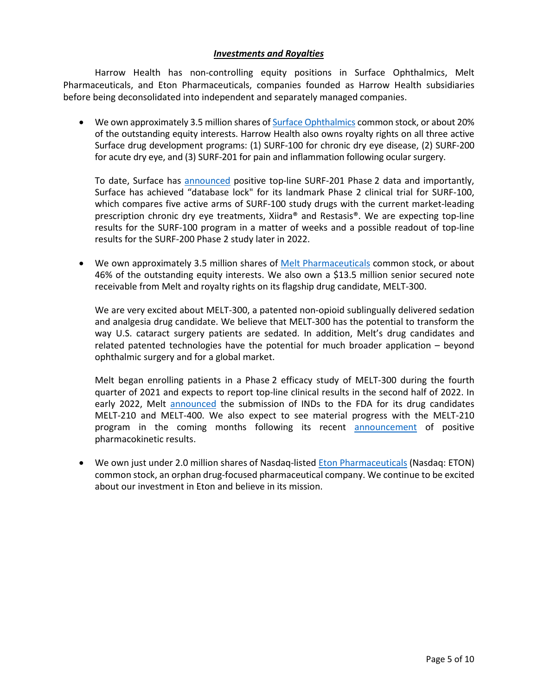## *Investments and Royalties*

Harrow Health has non-controlling equity positions in Surface Ophthalmics, Melt Pharmaceuticals, and Eton Pharmaceuticals, companies founded as Harrow Health subsidiaries before being deconsolidated into independent and separately managed companies.

• We own approximately 3.5 million shares of [Surface Ophthalmics](https://surfaceophthalmics.com/) common stock, or about 20% of the outstanding equity interests. Harrow Health also owns royalty rights on all three active Surface drug development programs: (1) SURF-100 for chronic dry eye disease, (2) SURF-200 for acute dry eye, and (3) SURF-201 for pain and inflammation following ocular surgery.

To date, Surface has [announced](https://www.prnewswire.com/news-releases/surface-ophthalmics-announces-first-patient-dosed-in-landmark-head-to-head-phase-ii-trial-for-surf-100-for-chronic-dry-eye-disease-301215738.html) positive top-line SURF-201 Phase 2 data and importantly, Surface has achieved "database lock" for its landmark Phase 2 clinical trial for SURF-100, which compares five active arms of SURF-100 study drugs with the current market-leading prescription chronic dry eye treatments, Xiidra® and Restasis®. We are expecting top-line results for the SURF-100 program in a matter of weeks and a possible readout of top-line results for the SURF-200 Phase 2 study later in 2022.

• We own approximately 3.5 million shares of [Melt Pharmaceuticals](http://www.meltpharma.com/) common stock, or about 46% of the outstanding equity interests. We also own a \$13.5 million senior secured note receivable from Melt and royalty rights on its flagship drug candidate, MELT-300.

We are very excited about MELT-300, a patented non-opioid sublingually delivered sedation and analgesia drug candidate. We believe that MELT-300 has the potential to transform the way U.S. cataract surgery patients are sedated. In addition, Melt's drug candidates and related patented technologies have the potential for much broader application – beyond ophthalmic surgery and for a global market.

Melt began enrolling patients in a Phase 2 efficacy study of MELT-300 during the fourth quarter of 2021 and expects to report top-line clinical results in the second half of 2022. In early 2022, Melt [announced](https://www.businesswire.com/news/home/20220104005278/en/) the submission of INDs to the FDA for its drug candidates MELT-210 and MELT-400. We also expect to see material progress with the MELT-210 program in the coming months following its recent [announcement](https://www.businesswire.com/news/home/20220503006359/en/Melt-Pharmaceuticals-Announces-MELT-210-Top-Line-Results-of-Phase-1-Pharmacokinetics-PK-Study-for-Procedural-Sedation) of positive pharmacokinetic results.

• We own just under 2.0 million shares of Nasdaq-liste[d Eton Pharmaceuticals](http://www.etonpharma.com/) (Nasdaq: ETON) common stock, an orphan drug-focused pharmaceutical company. We continue to be excited about our investment in Eton and believe in its mission.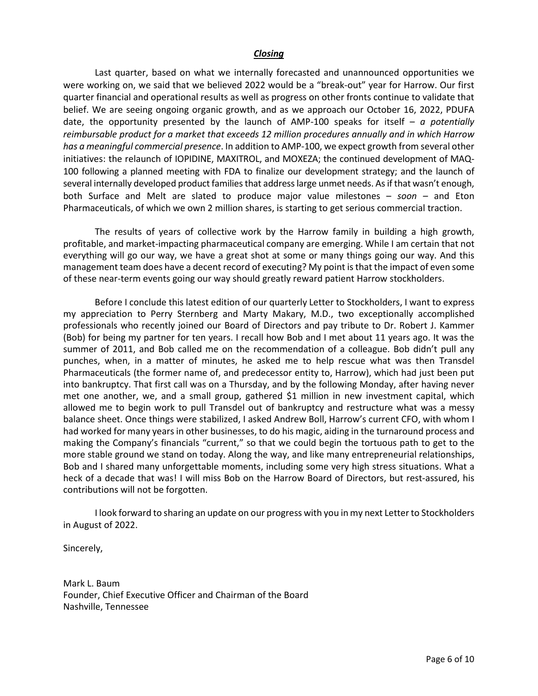### *Closing*

Last quarter, based on what we internally forecasted and unannounced opportunities we were working on, we said that we believed 2022 would be a "break-out" year for Harrow. Our first quarter financial and operational results as well as progress on other fronts continue to validate that belief. We are seeing ongoing organic growth, and as we approach our October 16, 2022, PDUFA date, the opportunity presented by the launch of AMP-100 speaks for itself – *a potentially reimbursable product for a market that exceeds 12 million procedures annually and in which Harrow has a meaningful commercial presence*. In addition to AMP-100, we expect growth from several other initiatives: the relaunch of IOPIDINE, MAXITROL, and MOXEZA; the continued development of MAQ-100 following a planned meeting with FDA to finalize our development strategy; and the launch of several internally developed product families that address large unmet needs. As if that wasn't enough, both Surface and Melt are slated to produce major value milestones – *soon –* and Eton Pharmaceuticals, of which we own 2 million shares, is starting to get serious commercial traction.

The results of years of collective work by the Harrow family in building a high growth, profitable, and market-impacting pharmaceutical company are emerging. While I am certain that not everything will go our way, we have a great shot at some or many things going our way. And this management team does have a decent record of executing? My point is that the impact of even some of these near-term events going our way should greatly reward patient Harrow stockholders.

Before I conclude this latest edition of our quarterly Letter to Stockholders, I want to express my appreciation to Perry Sternberg and Marty Makary, M.D., two exceptionally accomplished professionals who recently joined our Board of Directors and pay tribute to Dr. Robert J. Kammer (Bob) for being my partner for ten years. I recall how Bob and I met about 11 years ago. It was the summer of 2011, and Bob called me on the recommendation of a colleague. Bob didn't pull any punches, when, in a matter of minutes, he asked me to help rescue what was then Transdel Pharmaceuticals (the former name of, and predecessor entity to, Harrow), which had just been put into bankruptcy. That first call was on a Thursday, and by the following Monday, after having never met one another, we, and a small group, gathered \$1 million in new investment capital, which allowed me to begin work to pull Transdel out of bankruptcy and restructure what was a messy balance sheet. Once things were stabilized, I asked Andrew Boll, Harrow's current CFO, with whom I had worked for many years in other businesses, to do his magic, aiding in the turnaround process and making the Company's financials "current," so that we could begin the tortuous path to get to the more stable ground we stand on today. Along the way, and like many entrepreneurial relationships, Bob and I shared many unforgettable moments, including some very high stress situations. What a heck of a decade that was! I will miss Bob on the Harrow Board of Directors, but rest-assured, his contributions will not be forgotten.

I look forward to sharing an update on our progress with you in my next Letter to Stockholders in August of 2022.

Sincerely,

Mark L. Baum Founder, Chief Executive Officer and Chairman of the Board Nashville, Tennessee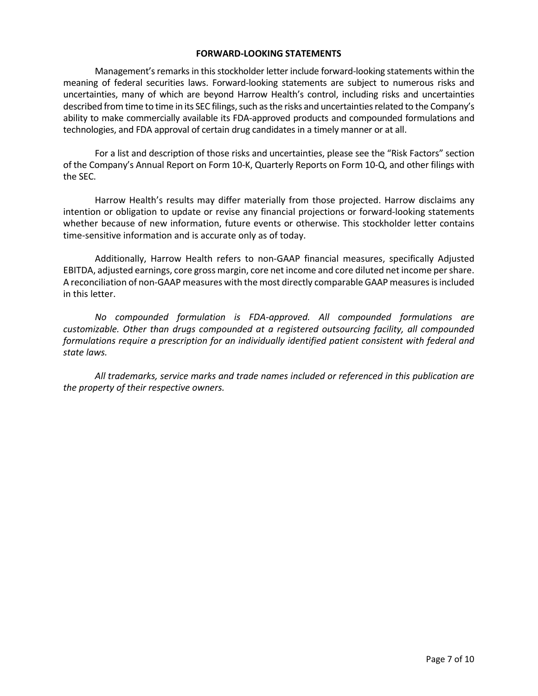### **FORWARD-LOOKING STATEMENTS**

Management's remarks in this stockholder letter include forward-looking statements within the meaning of federal securities laws. Forward-looking statements are subject to numerous risks and uncertainties, many of which are beyond Harrow Health's control, including risks and uncertainties described from time to time in its SEC filings, such as the risks and uncertainties related to the Company's ability to make commercially available its FDA-approved products and compounded formulations and technologies, and FDA approval of certain drug candidates in a timely manner or at all.

For a list and description of those risks and uncertainties, please see the "Risk Factors" section of the Company's Annual Report on Form 10-K, Quarterly Reports on Form 10-Q, and other filings with the SEC.

Harrow Health's results may differ materially from those projected. Harrow disclaims any intention or obligation to update or revise any financial projections or forward-looking statements whether because of new information, future events or otherwise. This stockholder letter contains time-sensitive information and is accurate only as of today.

Additionally, Harrow Health refers to non-GAAP financial measures, specifically Adjusted EBITDA, adjusted earnings, core gross margin, core net income and core diluted net income per share. A reconciliation of non-GAAP measures with the most directly comparable GAAP measures is included in this letter.

*No compounded formulation is FDA-approved. All compounded formulations are customizable. Other than drugs compounded at a registered outsourcing facility, all compounded formulations require a prescription for an individually identified patient consistent with federal and state laws.*

*All trademarks, service marks and trade names included or referenced in this publication are the property of their respective owners.*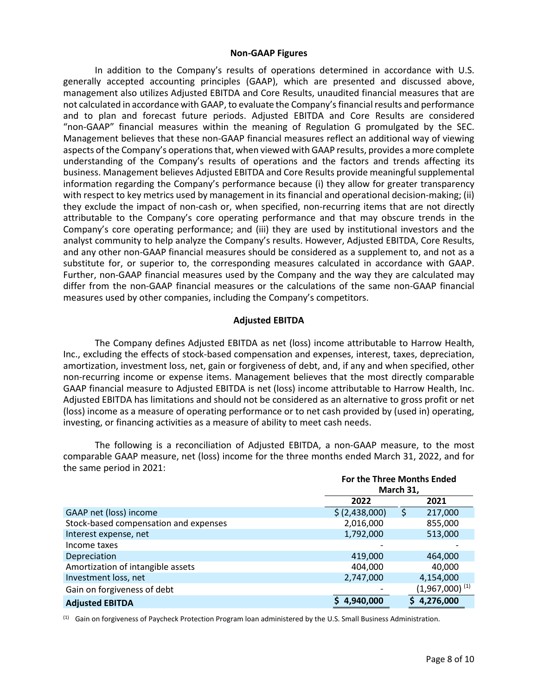### **Non-GAAP Figures**

In addition to the Company's results of operations determined in accordance with U.S. generally accepted accounting principles (GAAP), which are presented and discussed above, management also utilizes Adjusted EBITDA and Core Results, unaudited financial measures that are not calculated in accordance with GAAP, to evaluate the Company's financial results and performance and to plan and forecast future periods. Adjusted EBITDA and Core Results are considered "non-GAAP" financial measures within the meaning of Regulation G promulgated by the SEC. Management believes that these non-GAAP financial measures reflect an additional way of viewing aspects of the Company's operations that, when viewed with GAAP results, provides a more complete understanding of the Company's results of operations and the factors and trends affecting its business. Management believes Adjusted EBITDA and Core Results provide meaningful supplemental information regarding the Company's performance because (i) they allow for greater transparency with respect to key metrics used by management in its financial and operational decision-making; (ii) they exclude the impact of non-cash or, when specified, non-recurring items that are not directly attributable to the Company's core operating performance and that may obscure trends in the Company's core operating performance; and (iii) they are used by institutional investors and the analyst community to help analyze the Company's results. However, Adjusted EBITDA, Core Results, and any other non-GAAP financial measures should be considered as a supplement to, and not as a substitute for, or superior to, the corresponding measures calculated in accordance with GAAP. Further, non-GAAP financial measures used by the Company and the way they are calculated may differ from the non-GAAP financial measures or the calculations of the same non-GAAP financial measures used by other companies, including the Company's competitors.

## **Adjusted EBITDA**

The Company defines Adjusted EBITDA as net (loss) income attributable to Harrow Health, Inc., excluding the effects of stock-based compensation and expenses, interest, taxes, depreciation, amortization, investment loss, net, gain or forgiveness of debt, and, if any and when specified, other non-recurring income or expense items. Management believes that the most directly comparable GAAP financial measure to Adjusted EBITDA is net (loss) income attributable to Harrow Health, Inc. Adjusted EBITDA has limitations and should not be considered as an alternative to gross profit or net (loss) income as a measure of operating performance or to net cash provided by (used in) operating, investing, or financing activities as a measure of ability to meet cash needs.

The following is a reconciliation of Adjusted EBITDA, a non-GAAP measure, to the most comparable GAAP measure, net (loss) income for the three months ended March 31, 2022, and for the same period in 2021: **For the Three Months Ended** 

|                                       |                | For the Three Months Ended<br>March 31, |  |  |
|---------------------------------------|----------------|-----------------------------------------|--|--|
|                                       | 2022           | 2021                                    |  |  |
| GAAP net (loss) income                | \$ (2,438,000) | 217,000<br>S                            |  |  |
| Stock-based compensation and expenses | 2,016,000      | 855,000                                 |  |  |
| Interest expense, net                 | 1,792,000      | 513,000                                 |  |  |
| Income taxes                          |                |                                         |  |  |
| Depreciation                          | 419,000        | 464,000                                 |  |  |
| Amortization of intangible assets     | 404,000        | 40,000                                  |  |  |
| Investment loss, net                  | 2,747,000      | 4,154,000                               |  |  |
| Gain on forgiveness of debt           |                | $(1,967,000)^{(1)}$                     |  |  |
| <b>Adjusted EBITDA</b>                | 4,940,000      | 4,276,000                               |  |  |

(1) Gain on forgiveness of Paycheck Protection Program loan administered by the U.S. Small Business Administration.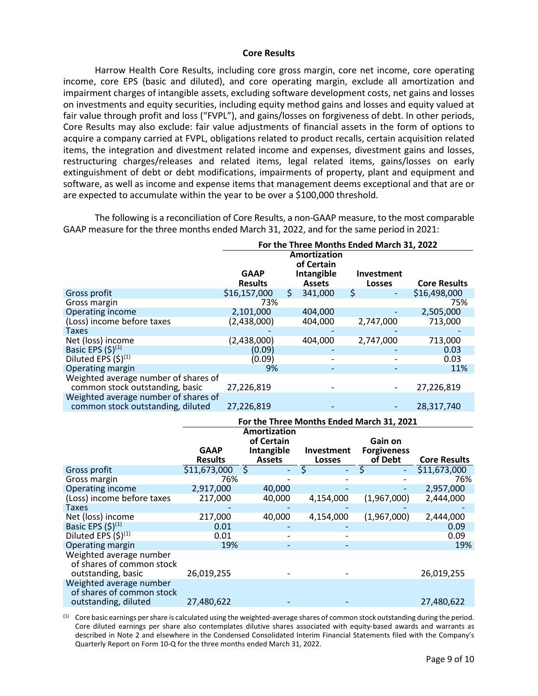### **Core Results**

<span id="page-8-0"></span>Harrow Health Core Results, including core gross margin, core net income, core operating income, core EPS (basic and diluted), and core operating margin, exclude all amortization and impairment charges of intangible assets, excluding software development costs, net gains and losses on investments and equity securities, including equity method gains and losses and equity valued at fair value through profit and loss ("FVPL"), and gains/losses on forgiveness of debt. In other periods, Core Results may also exclude: fair value adjustments of financial assets in the form of options to acquire a company carried at FVPL, obligations related to product recalls, certain acquisition related items, the integration and divestment related income and expenses, divestment gains and losses, restructuring charges/releases and related items, legal related items, gains/losses on early extinguishment of debt or debt modifications, impairments of property, plant and equipment and software, as well as income and expense items that management deems exceptional and that are or are expected to accumulate within the year to be over a \$100,000 threshold.

The following is a reconciliation of Core Results, a non-GAAP measure, to the most comparable GAAP measure for the three months ended March 31, 2022, and for the same period in 2021:

|                                      | For the Three Months Ended March 31, 2022 |    |               |                                |                     |
|--------------------------------------|-------------------------------------------|----|---------------|--------------------------------|---------------------|
|                                      | Amortization<br>of Certain                |    |               |                                |                     |
|                                      | <b>GAAP</b>                               |    | Intangible    | <b>Investment</b>              |                     |
|                                      | <b>Results</b>                            |    | <b>Assets</b> | <b>Losses</b>                  | <b>Core Results</b> |
| Gross profit                         | \$16,157,000                              | Ŝ. | 341,000       | \$<br>$\overline{\phantom{a}}$ | \$16,498,000        |
| Gross margin                         | 73%                                       |    |               |                                | 75%                 |
| Operating income                     | 2,101,000                                 |    | 404,000       |                                | 2,505,000           |
| (Loss) income before taxes           | (2,438,000)                               |    | 404.000       | 2,747,000                      | 713.000             |
| Taxes                                |                                           |    |               |                                |                     |
| Net (loss) income                    | (2,438,000)                               |    | 404,000       | 2,747,000                      | 713,000             |
| Basic EPS $(5)^{(1)}$                | (0.09)                                    |    |               |                                | 0.03                |
| Diluted EPS $(5)^{(1)}$              | (0.09)                                    |    |               |                                | 0.03                |
| Operating margin                     | 9%                                        |    |               |                                | 11%                 |
| Weighted average number of shares of |                                           |    |               |                                |                     |
| common stock outstanding, basic      | 27,226,819                                |    |               | $\overline{\phantom{a}}$       | 27,226,819          |
| Weighted average number of shares of |                                           |    |               |                                |                     |
| common stock outstanding, diluted    | 27,226,819                                |    |               | $\overline{\phantom{a}}$       | 28,317,740          |
|                                      |                                           |    |               |                                |                     |

|                                                                              | For the Three Months Ended March 31, 2021 |               |                          |                               |                     |
|------------------------------------------------------------------------------|-------------------------------------------|---------------|--------------------------|-------------------------------|---------------------|
|                                                                              | Amortization<br>of Certain                |               |                          |                               |                     |
|                                                                              | <b>GAAP</b>                               | Intangible    | <b>Investment</b>        | Gain on<br><b>Forgiveness</b> |                     |
|                                                                              | <b>Results</b>                            | <b>Assets</b> | <b>Losses</b>            | of Debt                       | <b>Core Results</b> |
| Gross profit                                                                 | \$11,673,000                              | Ś             | \$                       | \$                            | 511,673,000         |
| Gross margin                                                                 | 76%                                       |               |                          |                               | 76%                 |
| Operating income                                                             | 2,917,000                                 | 40,000        |                          |                               | 2,957,000           |
| (Loss) income before taxes                                                   | 217,000                                   | 40,000        | 4,154,000                | (1,967,000)                   | 2,444,000           |
| Taxes                                                                        |                                           |               |                          |                               |                     |
| Net (loss) income                                                            | 217,000                                   | 40,000        | 4,154,000                | (1,967,000)                   | 2,444,000           |
| Basic EPS $(5)^{(1)}$                                                        | 0.01                                      |               |                          |                               | 0.09                |
| Diluted EPS $(5)^{(1)}$                                                      | 0.01                                      |               |                          |                               | 0.09                |
| Operating margin                                                             | 19%                                       |               | $\overline{\phantom{0}}$ |                               | 19%                 |
| Weighted average number<br>of shares of common stock<br>outstanding, basic   | 26,019,255                                |               |                          |                               | 26,019,255          |
| Weighted average number<br>of shares of common stock<br>outstanding, diluted | 27,480,622                                |               |                          |                               | 27,480,622          |

 $<sup>(1)</sup>$  Core basic earnings per share is calculated using the weighted-average shares of common stock outstanding during the period.</sup> Core diluted earnings per share also contemplates dilutive shares associated with equity-based awards and warrants as described in Note 2 and elsewhere in the Condensed Consolidated Interim Financial Statements filed with the Company's Quarterly Report on Form 10-Q for the three months ended March 31, 2022.